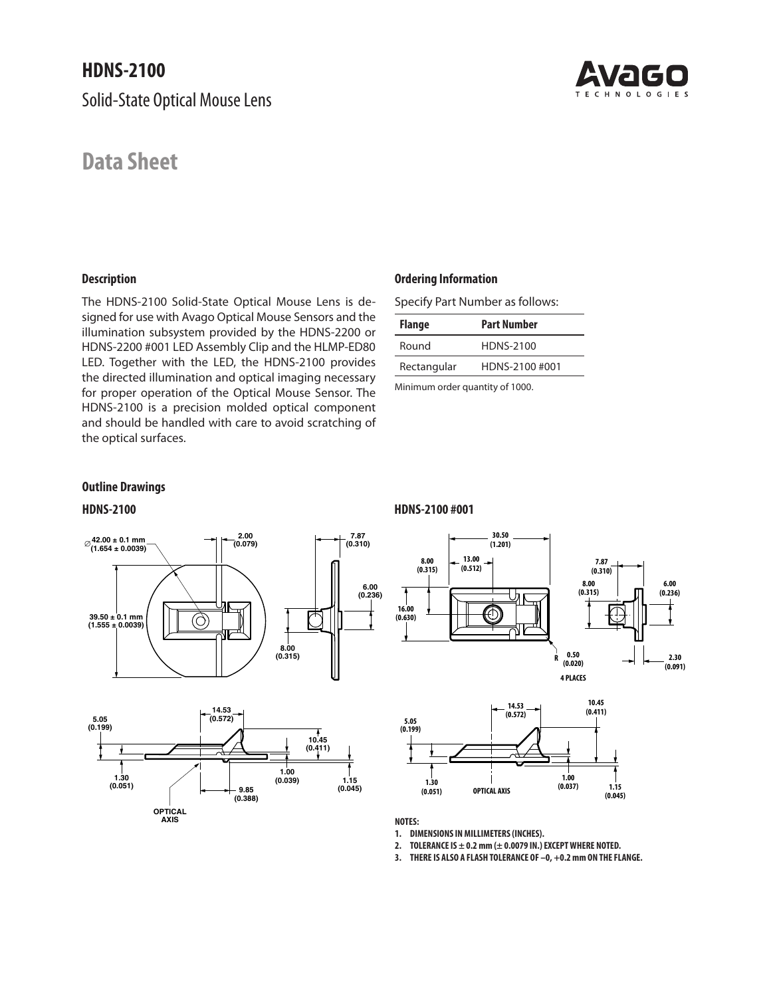Solid-State Optical Mouse Lens

# **Data Sheet**

# **Description**

The HDNS-2100 Solid-State Optical Mouse Lens is designed for use with Avago Optical Mouse Sensors and the illumination subsystem provided by the HDNS-2200 or HDNS-2200 #001 LED Assembly Clip and the HLMP-ED80 LED. Together with the LED, the HDNS-2100 provides the directed illumination and optical imaging necessary for proper operation of the Optical Mouse Sensor. The HDNS-2100 is a precision molded optical component and should be handled with care to avoid scratching of the optical surfaces.

### **Ordering Information**

Specify Part Number as follows:

| <b>Flange</b> | <b>Part Number</b> |  |  |  |  |
|---------------|--------------------|--|--|--|--|
| Round         | HDNS-2100          |  |  |  |  |
| Rectangular   | HDNS-2100 #001     |  |  |  |  |
|               |                    |  |  |  |  |

Minimum order quantity of 1000.

## **Outline Drawings**





### **HDNS-2100 HDNS-2100 #001**





**NOTES:**

**1. DIMENSIONS IN MILLIMETERS (INCHES). DIMENSIONSINMILLIMETERS(INCHES)**

**2. TOLERANCE IS ± 0.2 mm (± 0.0079 IN.) EXCEPT WHERE NOTED.**

**3. THERE IS ALSO A FLASH TOLERANCE OF –0, +0.2 mm ON THE FLANGE.**